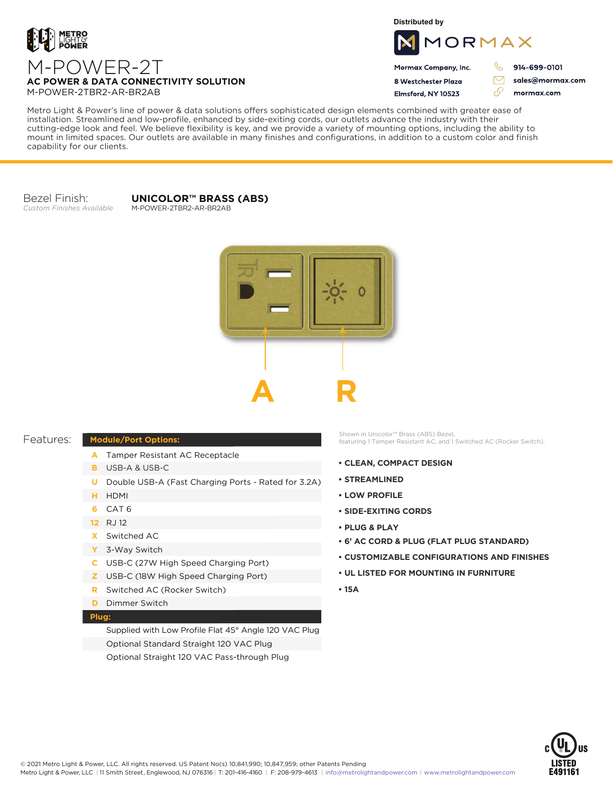

**Distributed by**



Mormax Company, Inc. 8 Westchester Plaza

Elmsford, NY 10523

914-699-0101

sales@mormax.com mormax.com

76

**AC POWER & DATA CONNECTIVITY SOLUTION** M-POWER-2TBR2-AR-BR2AB

M-POWER-2T

Metro Light & Power's line of power & data solutions offers sophisticated design elements combined with greater ease of installation. Streamlined and low-profile, enhanced by side-exiting cords, our outlets advance the industry with their cutting-edge look and feel. We believe flexibility is key, and we provide a variety of mounting options, including the ability to mount in limited spaces. Our outlets are available in many finishes and configurations, in addition to a custom color and finish capability for our clients.

Bezel Finish: *Custom Finishes Available*

## **UNICOLOR™ BRASS (ABS)**

M-POWER-2TBR2-AR-BR2AB



## Features:

## **Module/Port Options:**

- A Tamper Resistant AC Receptacle
- USB-A & USB-C **B**
- U Double USB-A (Fast Charging Ports Rated for 3.2A)
- HDMI **H**
- CAT 6 **6**
- 12 RJ 12
- Switched AC **X**
- 3-Way Switch **Y**
- USB-C (27W High Speed Charging Port) **C**
- USB-C (18W High Speed Charging Port) **Z**
- Switched AC (Rocker Switch) **R**
- **D** Dimmer Switch

## **Plug:**

Supplied with Low Profile Flat 45° Angle 120 VAC Plug Optional Standard Straight 120 VAC Plug Optional Straight 120 VAC Pass-through Plug

Shown in Unicolor™ Brass (ABS) Bezel, featuring 1 Tamper Resistant AC, and 1 Switched AC (Rocker Switch).

- **CLEAN, COMPACT DESIGN**
- **STREAMLINED**
- **LOW PROFILE**
- **SIDE-EXITING CORDS**
- **PLUG & PLAY**
- **6' AC CORD & PLUG (FLAT PLUG STANDARD)**
- **CUSTOMIZABLE CONFIGURATIONS AND FINISHES**
- **UL LISTED FOR MOUNTING IN FURNITURE**
- **15A**